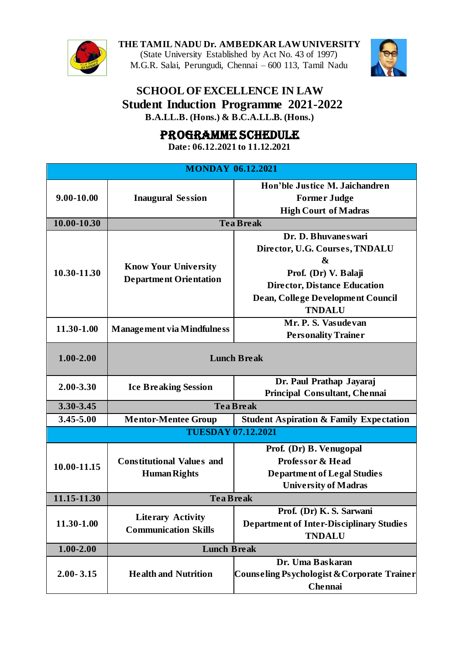

**THE TAMIL NADU Dr. AMBEDKAR LAW UNIVERSITY** (State University Established by Act No. 43 of 1997) M.G.R. Salai, Perungudi, Chennai – 600 113, Tamil Nadu



## **SCHOOL OF EXCELLENCE IN LAW Student Induction Programme 2021-2022 B.A.LL.B. (Hons.) & B.C.A.LL.B. (Hons.)**

PROGRAMME SCHEDULE

**Date: 06.12.2021 to 11.12.2021**

| <b>MONDAY 06.12.2021</b> |                                                              |                                                    |  |  |
|--------------------------|--------------------------------------------------------------|----------------------------------------------------|--|--|
| 9.00-10.00               | <b>Inaugural Session</b>                                     | Hon'ble Justice M. Jaichandren                     |  |  |
|                          |                                                              | <b>Former Judge</b>                                |  |  |
|                          |                                                              | <b>High Court of Madras</b>                        |  |  |
| 10.00-10.30              | <b>Tea Break</b>                                             |                                                    |  |  |
| 10.30-11.30              | <b>Know Your University</b><br><b>Department Orientation</b> | Dr. D. Bhuvanes wari                               |  |  |
|                          |                                                              | Director, U.G. Courses, TNDALU                     |  |  |
|                          |                                                              | &                                                  |  |  |
|                          |                                                              | Prof. (Dr) V. Balaji                               |  |  |
|                          |                                                              | <b>Director, Distance Education</b>                |  |  |
|                          |                                                              | Dean, College Development Council                  |  |  |
|                          |                                                              | <b>TNDALU</b>                                      |  |  |
| 11.30-1.00               | <b>Management via Mindfulness</b>                            | Mr. P. S. Vasudevan                                |  |  |
|                          |                                                              | <b>Personality Trainer</b>                         |  |  |
| $1.00 - 2.00$            | <b>Lunch Break</b>                                           |                                                    |  |  |
| 2.00-3.30                | <b>Ice Breaking Session</b>                                  | Dr. Paul Prathap Jayaraj                           |  |  |
|                          |                                                              | Principal Consultant, Chennai                      |  |  |
| 3.30-3.45                | <b>Tea Break</b>                                             |                                                    |  |  |
| 3.45-5.00                | <b>Mentor-Mentee Group</b>                                   | <b>Student Aspiration &amp; Family Expectation</b> |  |  |
|                          | <b>TUESDAY 07.12.2021</b>                                    |                                                    |  |  |
|                          |                                                              | Prof. (Dr) B. Venugopal                            |  |  |
| 10.00-11.15              | <b>Constitutional Values and</b>                             | <b>Professor &amp; Head</b>                        |  |  |
|                          | <b>Human Rights</b>                                          | <b>Department of Legal Studies</b>                 |  |  |
|                          |                                                              | <b>University of Madras</b>                        |  |  |
| 11.15-11.30              | <b>Tea Break</b>                                             |                                                    |  |  |
| 11.30-1.00               | <b>Literary Activity</b><br><b>Communication Skills</b>      | Prof. (Dr) K.S. Sarwani                            |  |  |
|                          |                                                              | <b>Department of Inter-Disciplinary Studies</b>    |  |  |
|                          |                                                              | <b>TNDALU</b>                                      |  |  |
| $1.00 - 2.00$            | <b>Lunch Break</b>                                           |                                                    |  |  |
| $2.00 - 3.15$            |                                                              | Dr. Uma Baskaran                                   |  |  |
|                          | <b>Health and Nutrition</b>                                  | Counseling Psychologist & Corporate Trainer        |  |  |
|                          |                                                              | Chennai                                            |  |  |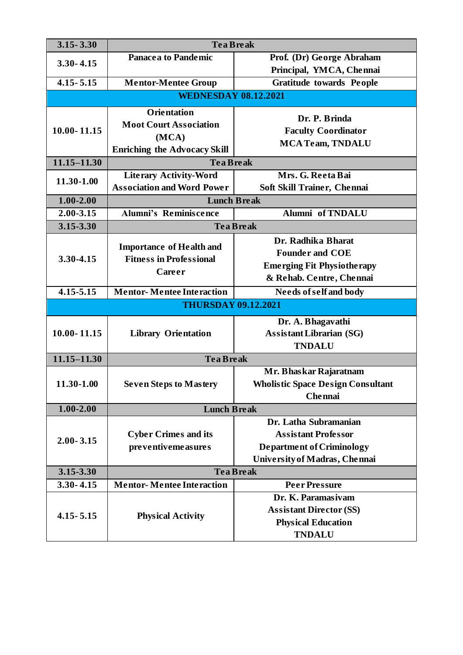| $3.15 - 3.30$               | <b>Tea Break</b>                                                  |                                          |  |  |
|-----------------------------|-------------------------------------------------------------------|------------------------------------------|--|--|
| $3.30 - 4.15$               | <b>Panacea to Pandemic</b>                                        | Prof. (Dr) George Abraham                |  |  |
|                             |                                                                   | Principal, YMCA, Chennai                 |  |  |
| $4.15 - 5.15$               | <b>Mentor-Mentee Group</b>                                        | <b>Gratitude towards People</b>          |  |  |
| <b>WEDNESDAY 08.12.2021</b> |                                                                   |                                          |  |  |
|                             | <b>Orientation</b>                                                |                                          |  |  |
| $10.00 - 11.15$             | <b>Moot Court Association</b>                                     | Dr. P. Brinda                            |  |  |
|                             | (MCA)                                                             | <b>Faculty Coordinator</b>               |  |  |
|                             | <b>Enriching the Advocacy Skill</b>                               | <b>MCA Team, TNDALU</b>                  |  |  |
| $11.15 - 11.30$             | <b>Tea Break</b>                                                  |                                          |  |  |
| 11.30-1.00                  | <b>Literary Activity-Word</b>                                     | Mrs. G. Reeta Bai                        |  |  |
|                             | <b>Association and Word Power</b>                                 | Soft Skill Trainer, Chennai              |  |  |
| $1.00 - 2.00$               | <b>Lunch Break</b>                                                |                                          |  |  |
| 2.00-3.15                   | <b>Alumni's Reminiscence</b>                                      | Alumni of TNDALU                         |  |  |
| 3.15-3.30                   | <b>Tea Break</b>                                                  |                                          |  |  |
|                             |                                                                   | Dr. Radhika Bharat                       |  |  |
| 3.30-4.15                   | <b>Importance of Health and</b><br><b>Fitness in Professional</b> | <b>Founder and COE</b>                   |  |  |
|                             | Career                                                            | <b>Emerging Fit Physiotherapy</b>        |  |  |
|                             |                                                                   | & Rehab. Centre, Chennai                 |  |  |
| $4.15 - 5.15$               | <b>Mentor-Mentee Interaction</b>                                  | <b>Needs of self and body</b>            |  |  |
| <b>THURSDAY 09.12.2021</b>  |                                                                   |                                          |  |  |
|                             |                                                                   | Dr. A. Bhagavathi                        |  |  |
| $10.00 - 11.15$             | <b>Library Orientation</b>                                        | <b>Assistant Librarian (SG)</b>          |  |  |
|                             |                                                                   | <b>TNDALU</b>                            |  |  |
| $11.15 - 11.30$             | <b>Tea Break</b>                                                  |                                          |  |  |
|                             |                                                                   | Mr. Bhaskar Rajaratnam                   |  |  |
| 11.30-1.00                  | <b>Seven Steps to Mastery</b>                                     | <b>Wholistic Space Design Consultant</b> |  |  |
|                             |                                                                   | <b>Chennai</b>                           |  |  |
| $1.00 - 2.00$               | <b>Lunch Break</b>                                                |                                          |  |  |
|                             |                                                                   | Dr. Latha Subramanian                    |  |  |
| $2.00 - 3.15$               | <b>Cyber Crimes and its</b>                                       | <b>Assistant Professor</b>               |  |  |
|                             | pre ventiveme asures                                              | <b>Department of Criminology</b>         |  |  |
|                             |                                                                   | University of Madras, Chennai            |  |  |
| 3.15-3.30                   |                                                                   | <b>Tea Break</b>                         |  |  |
| $3.30 - 4.15$               | <b>Mentor-Mentee Interaction</b>                                  | <b>Peer Pressure</b>                     |  |  |
| $4.15 - 5.15$               | <b>Physical Activity</b>                                          | Dr. K. Paramasiyam                       |  |  |
|                             |                                                                   | <b>Assistant Director (SS)</b>           |  |  |
|                             |                                                                   | <b>Physical Education</b>                |  |  |
|                             |                                                                   | <b>TNDALU</b>                            |  |  |